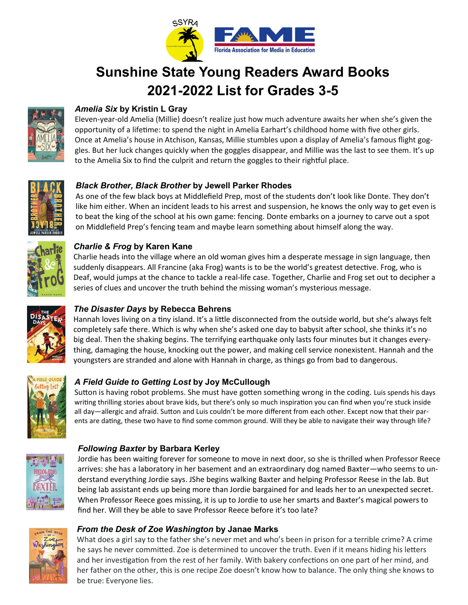

# **Sunshine State Young Readers Award Books 2021-2022 List for Grades 3-5**



# *Amelia Six* **by Kristin L Gray**

Eleven-year-old Amelia (Millie) doesn't realize just how much adventure awaits her when she's given the opportunity of a lifetime: to spend the night in Amelia Earhart's childhood home with five other girls. Once at Amelia's house in Atchison, Kansas, Millie stumbles upon a display of Amelia's famous flight goggles. But her luck changes quickly when the goggles disappear, and Millie was the last to see them. It's up to the Amelia Six to find the culprit and return the goggles to their rightful place.



# *Black Brother, Black Brother* **by Jewell Parker Rhodes**

As one of the few black boys at Middlefield Prep, most of the students don't look like Donte. They don't like him either. When an incident leads to his arrest and suspension, he knows the only way to get even is to beat the king of the school at his own game: fencing. Donte embarks on a journey to carve out a spot on Middlefield Prep's fencing team and maybe learn something about himself along the way.



## *Charlie & Frog* **by Karen Kane**

Charlie heads into the village where an old woman gives him a desperate message in sign language, then suddenly disappears. All Francine (aka Frog) wants is to be the world's greatest detective. Frog, who is Deaf, would jumps at the chance to tackle a real-life case. Together, Charlie and Frog set out to decipher a series of clues and uncover the truth behind the missing woman's mysterious message.



# *The Disaster Days* **by Rebecca Behrens**

Hannah loves living on a tiny island. It's a little disconnected from the outside world, but she's always felt completely safe there. Which is why when she's asked one day to babysit after school, she thinks it's no big deal. Then the shaking begins. The terrifying earthquake only lasts four minutes but it changes everything, damaging the house, knocking out the power, and making cell service nonexistent. Hannah and the youngsters are stranded and alone with Hannah in charge, as things go from bad to dangerous.



# *A Field Guide to Getting Lost* **by Joy McCullough**

Sutton is having robot problems. She must have gotten something wrong in the coding. Luis spends his days writing thrilling stories about brave kids, but there's only so much inspiration you can find when you're stuck inside all day—allergic and afraid. Sutton and Luis couldn't be more different from each other. Except now that their parents are dating, these two have to find some common ground. Will they be able to navigate their way through life?



# *Following Baxter* **by Barbara Kerley**

Jordie has been waiting forever for someone to move in next door, so she is thrilled when Professor Reece arrives: she has a laboratory in her basement and an extraordinary dog named Baxter—who seems to understand everything Jordie says. JShe begins walking Baxter and helping Professor Reese in the lab. But being lab assistant ends up being more than Jordie bargained for and leads her to an unexpected secret. When Professor Reece goes missing, it is up to Jordie to use her smarts and Baxter's magical powers to find her. Will they be able to save Professor Reece before it's too late?



#### *From the Desk of Zoe Washington* **by Janae Marks**

What does a girl say to the father she's never met and who's been in prison for a terrible crime? A crime he says he never committed. Zoe is determined to uncover the truth. Even if it means hiding his letters and her investigation from the rest of her family. With bakery confections on one part of her mind, and her father on the other, this is one recipe Zoe doesn't know how to balance. The only thing she knows to be true: Everyone lies.